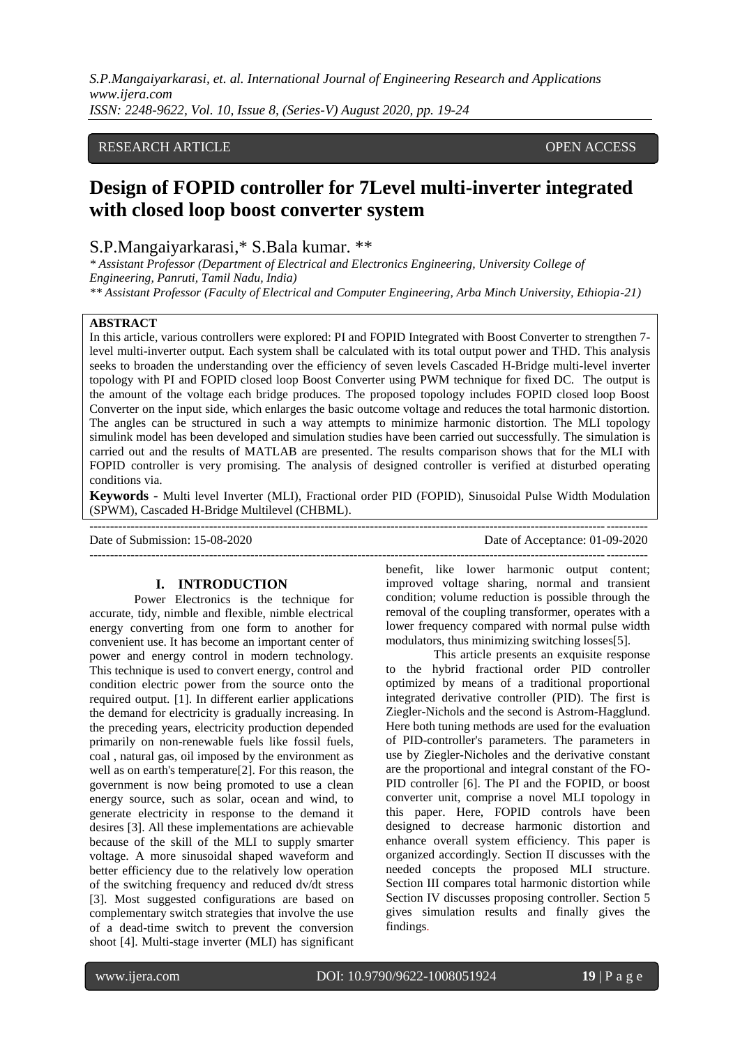## RESEARCH ARTICLE **CONSERVERS** OPEN ACCESS

# **Design of FOPID controller for 7Level multi-inverter integrated with closed loop boost converter system**

## S.P.Mangaiyarkarasi,\* S.Bala kumar. \*\*

*\* Assistant Professor (Department of Electrical and Electronics Engineering, University College of Engineering, Panruti, Tamil Nadu, India)*

*\*\* Assistant Professor (Faculty of Electrical and Computer Engineering, Arba Minch University, Ethiopia-21)*

## **ABSTRACT**

In this article, various controllers were explored: PI and FOPID Integrated with Boost Converter to strengthen 7 level multi-inverter output. Each system shall be calculated with its total output power and THD. This analysis seeks to broaden the understanding over the efficiency of seven levels Cascaded H-Bridge multi-level inverter topology with PI and FOPID closed loop Boost Converter using PWM technique for fixed DC. The output is the amount of the voltage each bridge produces. The proposed topology includes FOPID closed loop Boost Converter on the input side, which enlarges the basic outcome voltage and reduces the total harmonic distortion. The angles can be structured in such a way attempts to minimize harmonic distortion. The MLI topology simulink model has been developed and simulation studies have been carried out successfully. The simulation is carried out and the results of MATLAB are presented. The results comparison shows that for the MLI with FOPID controller is very promising. The analysis of designed controller is verified at disturbed operating conditions via.

**Keywords -** Multi level Inverter (MLI), Fractional order PID (FOPID), Sinusoidal Pulse Width Modulation (SPWM), Cascaded H-Bridge Multilevel (CHBML).

Date of Submission: 15-08-2020 Date of Acceptance: 01-09-2020

### **I. INTRODUCTION**

---------------------------------------------------------------------------------------------------------------------------------------

Power Electronics is the technique for accurate, tidy, nimble and flexible, nimble electrical energy converting from one form to another for convenient use. It has become an important center of power and energy control in modern technology. This technique is used to convert energy, control and condition electric power from the source onto the required output. [1]. In different earlier applications the demand for electricity is gradually increasing. In the preceding years, electricity production depended primarily on non-renewable fuels like fossil fuels, coal , natural gas, oil imposed by the environment as well as on earth's temperature[2]. For this reason, the government is now being promoted to use a clean energy source, such as solar, ocean and wind, to generate electricity in response to the demand it desires [3]. All these implementations are achievable because of the skill of the MLI to supply smarter voltage. A more sinusoidal shaped waveform and better efficiency due to the relatively low operation of the switching frequency and reduced dv/dt stress [3]. Most suggested configurations are based on complementary switch strategies that involve the use of a dead-time switch to prevent the conversion shoot [4]. Multi-stage inverter (MLI) has significant

benefit, like lower harmonic output content; improved voltage sharing, normal and transient condition; volume reduction is possible through the removal of the coupling transformer, operates with a lower frequency compared with normal pulse width modulators, thus minimizing switching losses[5].

---------------------------------------------------------------------------------------------------------------------------------------

This article presents an exquisite response to the hybrid fractional order PID controller optimized by means of a traditional proportional integrated derivative controller (PID). The first is Ziegler-Nichols and the second is Astrom-Hagglund. Here both tuning methods are used for the evaluation of PID-controller's parameters. The parameters in use by Ziegler-Nicholes and the derivative constant are the proportional and integral constant of the FO-PID controller [6]. The PI and the FOPID, or boost converter unit, comprise a novel MLI topology in this paper. Here, FOPID controls have been designed to decrease harmonic distortion and enhance overall system efficiency. This paper is organized accordingly. Section II discusses with the needed concepts the proposed MLI structure. Section III compares total harmonic distortion while Section IV discusses proposing controller. Section 5 gives simulation results and finally gives the findings.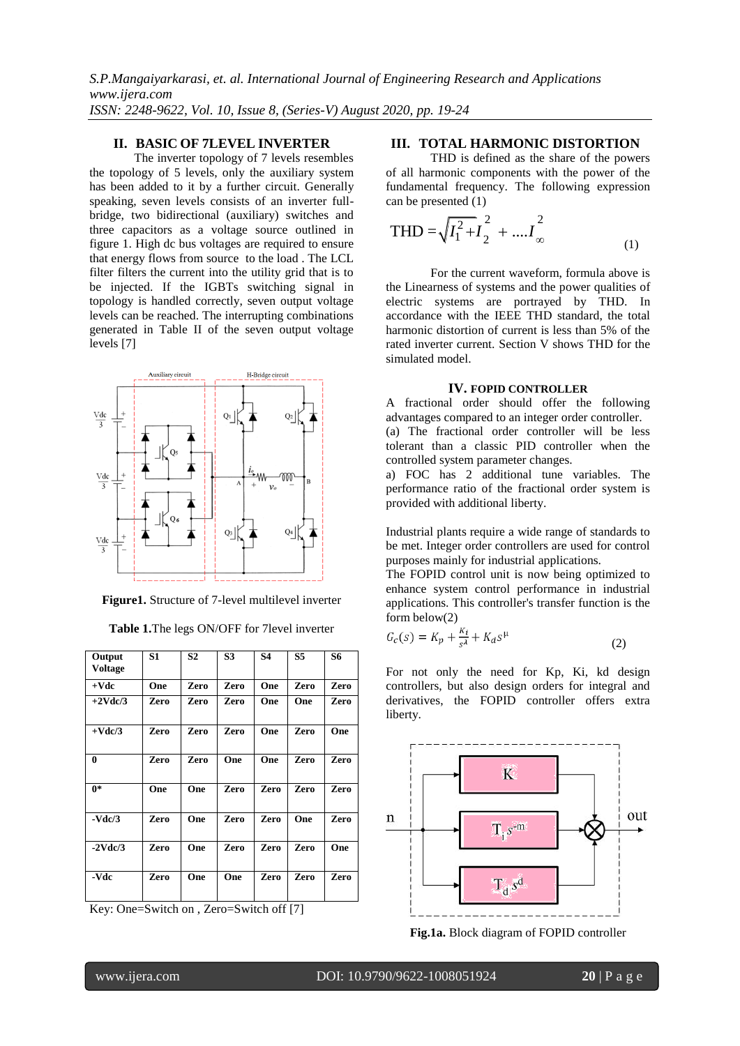## **II. BASIC OF 7LEVEL INVERTER**

The inverter topology of 7 levels resembles the topology of 5 levels, only the auxiliary system has been added to it by a further circuit. Generally speaking, seven levels consists of an inverter fullbridge, two bidirectional (auxiliary) switches and three capacitors as a voltage source outlined in figure 1. High dc bus voltages are required to ensure that energy flows from source to the load . The LCL filter filters the current into the utility grid that is to be injected. If the IGBTs switching signal in topology is handled correctly, seven output voltage levels can be reached. The interrupting combinations generated in Table II of the seven output voltage levels [7]



**Figure1.** Structure of 7-level multilevel inverter

| Output<br><b>Voltage</b> | S1   | S <sub>2</sub> | S <sub>3</sub> | <b>S4</b> | S5   | S6   |
|--------------------------|------|----------------|----------------|-----------|------|------|
| $+$ Vdc                  | One  | Zero           | Zero           | One       | Zero | Zero |
| $+2$ Vdc/3               | Zero | Zero           | Zero           | One       | One  | Zero |
| $+$ Vdc $/3$             | Zero | Zero           | Zero           | One       | Zero | One  |
| $\bf{0}$                 | Zero | Zero           | One            | One       | Zero | Zero |
| $0*$                     | One  | One            | Zero           | Zero      | Zero | Zero |
| $-Vdc/3$                 | Zero | One            | Zero           | Zero      | One  | Zero |
| $-2$ Vdc $/3$            | Zero | One            | Zero           | Zero      | Zero | One  |
| -Vdc                     | Zero | One            | One            | Zero      | Zero | Zero |

**Table 1.**The legs ON/OFF for 7level inverter

Key: One=Switch on , Zero=Switch off [7]

### **III. TOTAL HARMONIC DISTORTION**

THD is defined as the share of the powers of all harmonic components with the power of the fundamental frequency. The following expression can be presented (1)

$$
\text{THD} = \sqrt{I_1^2 + I_2^2} + \dots I_\infty^2 \tag{1}
$$

For the current waveform, formula above is the Linearness of systems and the power qualities of electric systems are portrayed by THD. In accordance with the IEEE THD standard, the total harmonic distortion of current is less than 5% of the rated inverter current. Section V shows THD for the simulated model.

#### **IV. FOPID CONTROLLER**

A fractional order should offer the following advantages compared to an integer order controller. (a) The fractional order controller will be less tolerant than a classic PID controller when the

controlled system parameter changes. a) FOC has 2 additional tune variables. The performance ratio of the fractional order system is provided with additional liberty.

Industrial plants require a wide range of standards to be met. Integer order controllers are used for control purposes mainly for industrial applications.

The FOPID control unit is now being optimized to enhance system control performance in industrial applications. This controller's transfer function is the form below(2)

$$
G_c(s) = K_p + \frac{\kappa_i}{s^{\lambda}} + K_d s^{\mu} \tag{2}
$$

For not only the need for Kp, Ki, kd design controllers, but also design orders for integral and derivatives, the FOPID controller offers extra liberty.



**Fig.1a.** Block diagram of FOPID controller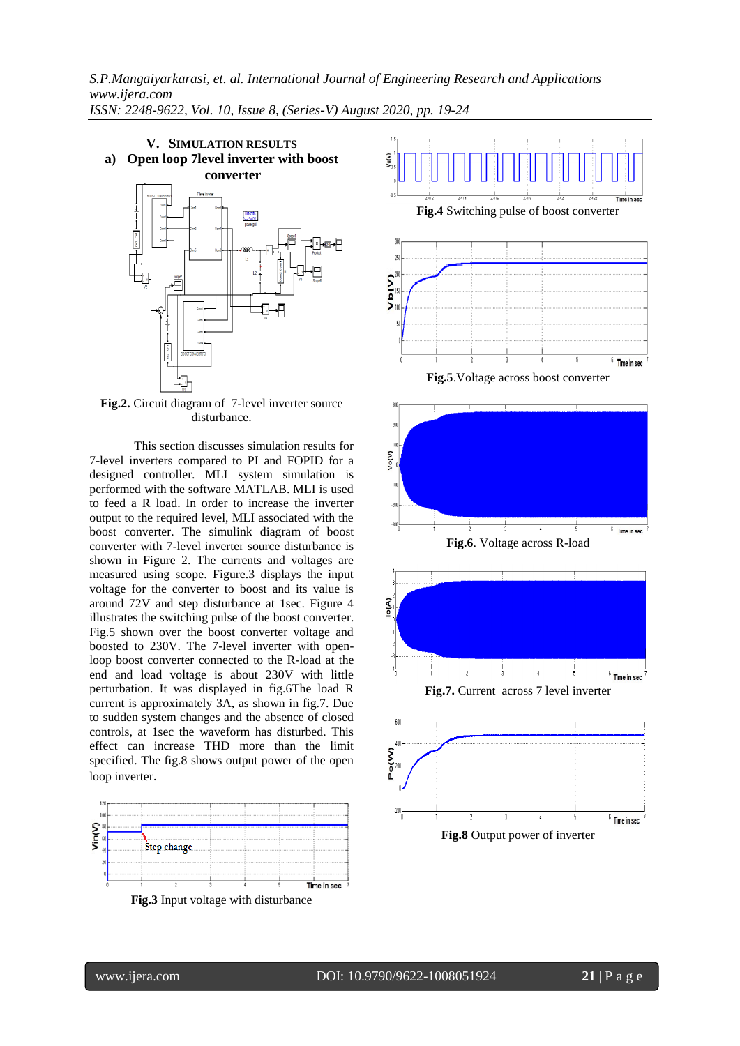

**Fig.2.** Circuit diagram of 7-level inverter source disturbance.

This section discusses simulation results for 7-level inverters compared to PI and FOPID for a designed controller. MLI system simulation is performed with the software MATLAB. MLI is used to feed a R load. In order to increase the inverter output to the required level, MLI associated with the boost converter. The simulink diagram of boost converter with 7-level inverter source disturbance is shown in Figure 2. The currents and voltages are measured using scope. Figure.3 displays the input voltage for the converter to boost and its value is around 72V and step disturbance at 1sec. Figure 4 illustrates the switching pulse of the boost converter. Fig.5 shown over the boost converter voltage and boosted to 230V. The 7-level inverter with openloop boost converter connected to the R-load at the end and load voltage is about 230V with little perturbation. It was displayed in fig.6The load R current is approximately 3A, as shown in fig.7. Due to sudden system changes and the absence of closed controls, at 1sec the waveform has disturbed. This effect can increase THD more than the limit specified. The fig.8 shows output power of the open loop inverter.



**Fig.3** Input voltage with disturbance

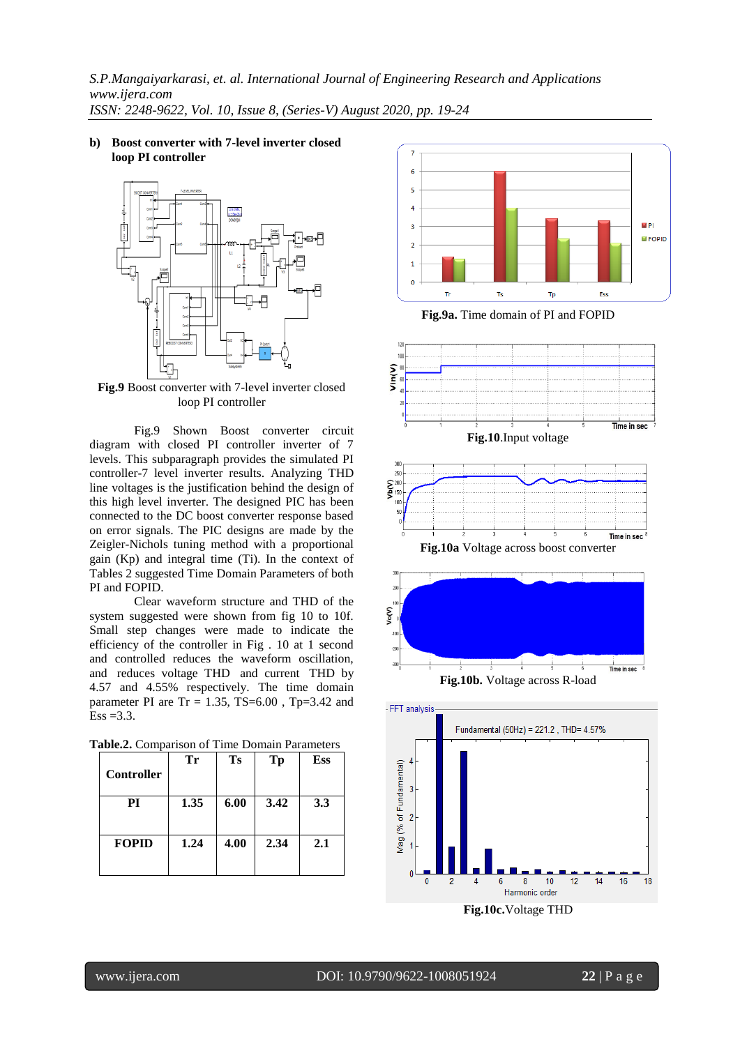**b) Boost converter with 7-level inverter closed loop PI controller**



**Fig.9** Boost converter with 7-level inverter closed loop PI controller

Fig.9 Shown Boost converter circuit diagram with closed PI controller inverter of 7 levels. This subparagraph provides the simulated PI controller-7 level inverter results. Analyzing THD line voltages is the justification behind the design of this high level inverter. The designed PIC has been connected to the DC boost converter response based on error signals. The PIC designs are made by the Zeigler-Nichols tuning method with a proportional gain (Kp) and integral time (Ti). In the context of Tables 2 suggested Time Domain Parameters of both PI and FOPID.

Clear waveform structure and THD of the system suggested were shown from fig 10 to 10f. Small step changes were made to indicate the efficiency of the controller in Fig . 10 at 1 second and controlled reduces the waveform oscillation, and reduces voltage THD and current THD by 4.57 and 4.55% respectively. The time domain parameter PI are  $Tr = 1.35$ ,  $TS=6.00$ ,  $Tp=3.42$  and  $Ess = 3.3.$ 

| <b>Controller</b> | Тr   | <b>Ts</b> | Tp   | Ess |
|-------------------|------|-----------|------|-----|
| PI                | 1.35 | 6.00      | 3.42 | 3.3 |
| <b>FOPID</b>      | 1.24 | 4.00      | 2.34 | 2.1 |

|  | Table.2. Comparison of Time Domain Parameters |  |  |  |
|--|-----------------------------------------------|--|--|--|
|--|-----------------------------------------------|--|--|--|



**Fig.9a.** Time domain of PI and FOPID



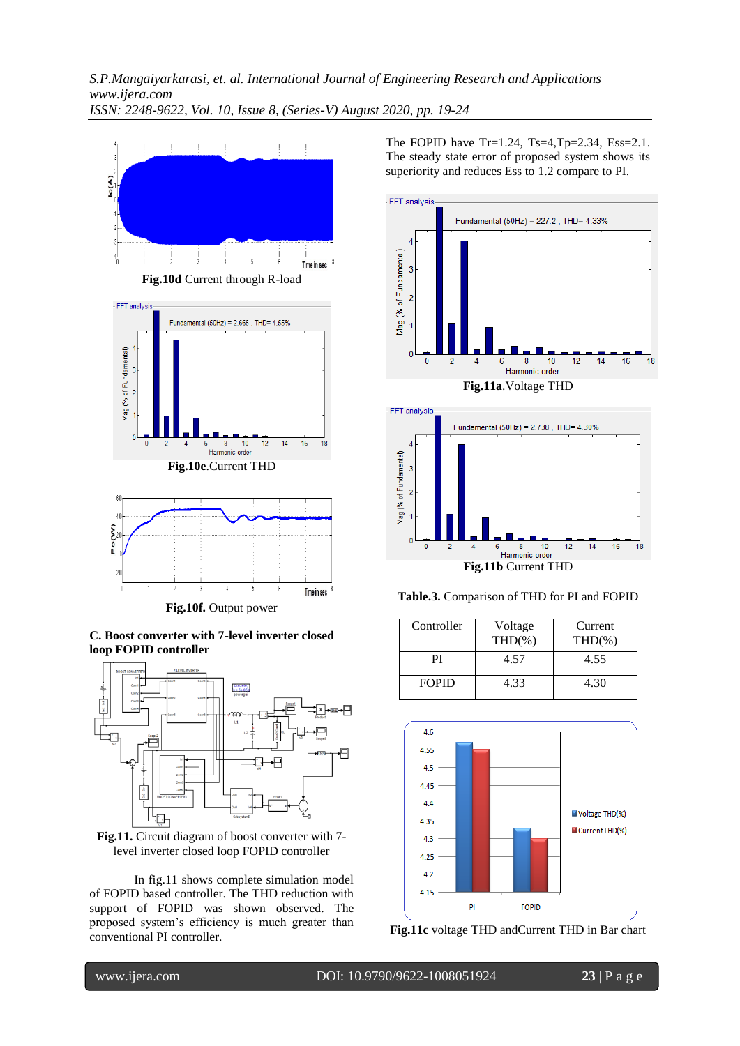

**C. Boost converter with 7-level inverter closed loop FOPID controller**





In fig.11 shows complete simulation model of FOPID based controller. The THD reduction with support of FOPID was shown observed. The proposed system's efficiency is much greater than conventional PI controller.

The FOPID have  $Tr=1.24$ ,  $Ts=4$ ,  $Tp=2.34$ ,  $Ess=2.1$ . The steady state error of proposed system shows its superiority and reduces Ess to 1.2 compare to PI.







| Controller   | Voltage<br>$THD(\% )$ | Current<br>$THD(\% )$ |
|--------------|-----------------------|-----------------------|
| PI           | 4.57                  | 4.55                  |
| <b>FOPID</b> | 4.33                  | 4.30                  |





www.ijera.com DOI: 10.9790/9622-1008051924 **23** | P a g e